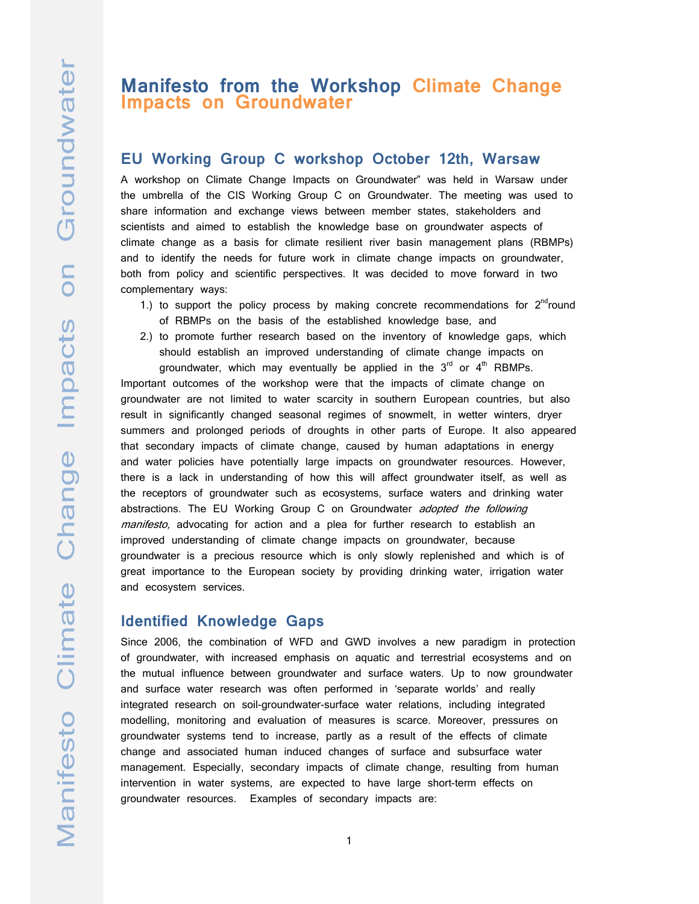# **Manifesto from the Workshop Climate Change Impacts on Groundwater**

# **EU Working Group C workshop October 12th, Warsaw**

A workshop on Climate Change Impacts on Groundwater" was held in Warsaw under the umbrella of the CIS Working Group C on Groundwater. The meeting was used to share information and exchange views between member states, stakeholders and scientists and aimed to establish the knowledge base on groundwater aspects of climate change as a basis for climate resilient river basin management plans (RBMPs) and to identify the needs for future work in climate change impacts on groundwater, both from policy and scientific perspectives. It was decided to move forward in two complementary ways:

- 1.) to support the policy process by making concrete recommendations for  $2^{nd}$ round of RBMPs on the basis of the established knowledge base, and
- 2.) to promote further research based on the inventory of knowledge gaps, which should establish an improved understanding of climate change impacts on groundwater, which may eventually be applied in the  $3<sup>rd</sup>$  or  $4<sup>th</sup>$  RBMPs.

Important outcomes of the workshop were that the impacts of climate change on groundwater are not limited to water scarcity in southern European countries, but also result in significantly changed seasonal regimes of snowmelt, in wetter winters, dryer summers and prolonged periods of droughts in other parts of Europe. It also appeared that secondary impacts of climate change, caused by human adaptations in energy and water policies have potentially large impacts on groundwater resources. However, there is a lack in understanding of how this will affect groundwater itself, as well as the receptors of groundwater such as ecosystems, surface waters and drinking water abstractions. The EU Working Group C on Groundwater *adopted the following* manifesto, advocating for action and a plea for further research to establish an improved understanding of climate change impacts on groundwater, because groundwater is a precious resource which is only slowly replenished and which is of great importance to the European society by providing drinking water, irrigation water and ecosystem services.

## **Identified Knowledge Gaps**

Since 2006, the combination of WFD and GWD involves a new paradigm in protection of groundwater, with increased emphasis on aquatic and terrestrial ecosystems and on the mutual influence between groundwater and surface waters. Up to now groundwater and surface water research was often performed in 'separate worlds' and really integrated research on soil-groundwater-surface water relations, including integrated modelling, monitoring and evaluation of measures is scarce. Moreover, pressures on groundwater systems tend to increase, partly as a result of the effects of climate change and associated human induced changes of surface and subsurface water management. Especially, secondary impacts of climate change, resulting from human intervention in water systems, are expected to have large short-term effects on groundwater resources. Examples of secondary impacts are: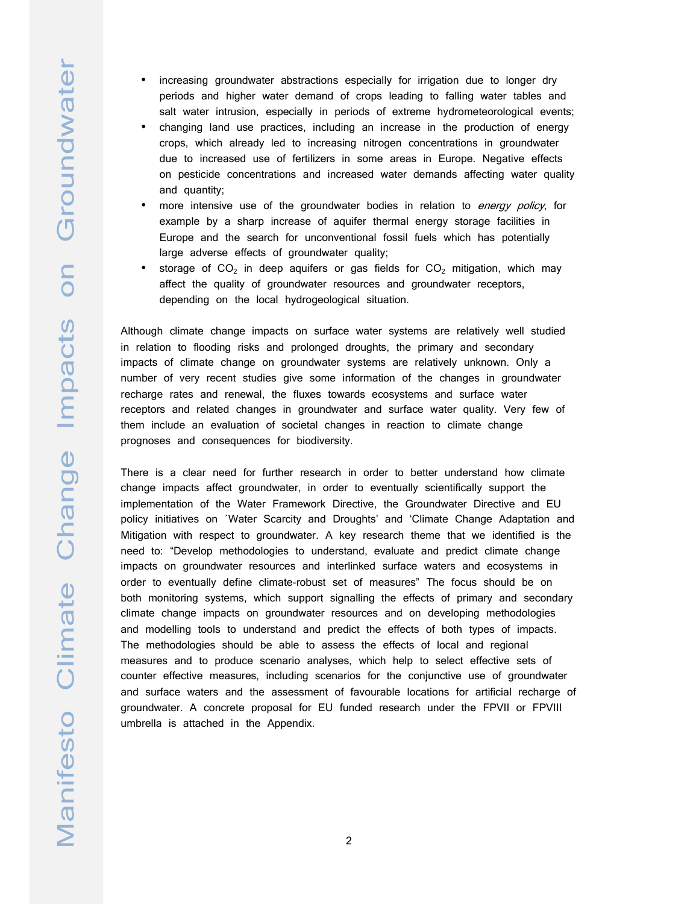- increasing groundwater abstractions especially for irrigation due to longer dry periods and higher water demand of crops leading to falling water tables and salt water intrusion, especially in periods of extreme hydrometeorological events;
- changing land use practices, including an increase in the production of energy crops, which already led to increasing nitrogen concentrations in groundwater due to increased use of fertilizers in some areas in Europe. Negative effects on pesticide concentrations and increased water demands affecting water quality and quantity;
- more intensive use of the groundwater bodies in relation to energy policy, for example by a sharp increase of aquifer thermal energy storage facilities in Europe and the search for unconventional fossil fuels which has potentially large adverse effects of groundwater quality;
- storage of  $CO<sub>2</sub>$  in deep aquifers or gas fields for  $CO<sub>2</sub>$  mitigation, which may affect the quality of groundwater resources and groundwater receptors, depending on the local hydrogeological situation.

Although climate change impacts on surface water systems are relatively well studied in relation to flooding risks and prolonged droughts, the primary and secondary impacts of climate change on groundwater systems are relatively unknown. Only a number of very recent studies give some information of the changes in groundwater recharge rates and renewal, the fluxes towards ecosystems and surface water receptors and related changes in groundwater and surface water quality. Very few of them include an evaluation of societal changes in reaction to climate change prognoses and consequences for biodiversity.

There is a clear need for further research in order to better understand how climate change impacts affect groundwater, in order to eventually scientifically support the implementation of the Water Framework Directive, the Groundwater Directive and EU policy initiatives on ´Water Scarcity and Droughts' and 'Climate Change Adaptation and Mitigation with respect to groundwater. A key research theme that we identified is the need to: "Develop methodologies to understand, evaluate and predict climate change impacts on groundwater resources and interlinked surface waters and ecosystems in order to eventually define climate-robust set of measures" The focus should be on both monitoring systems, which support signalling the effects of primary and secondary climate change impacts on groundwater resources and on developing methodologies and modelling tools to understand and predict the effects of both types of impacts. The methodologies should be able to assess the effects of local and regional measures and to produce scenario analyses, which help to select effective sets of counter effective measures, including scenarios for the conjunctive use of groundwater and surface waters and the assessment of favourable locations for artificial recharge of groundwater. A concrete proposal for EU funded research under the FPVII or FPVIII umbrella is attached in the Appendix.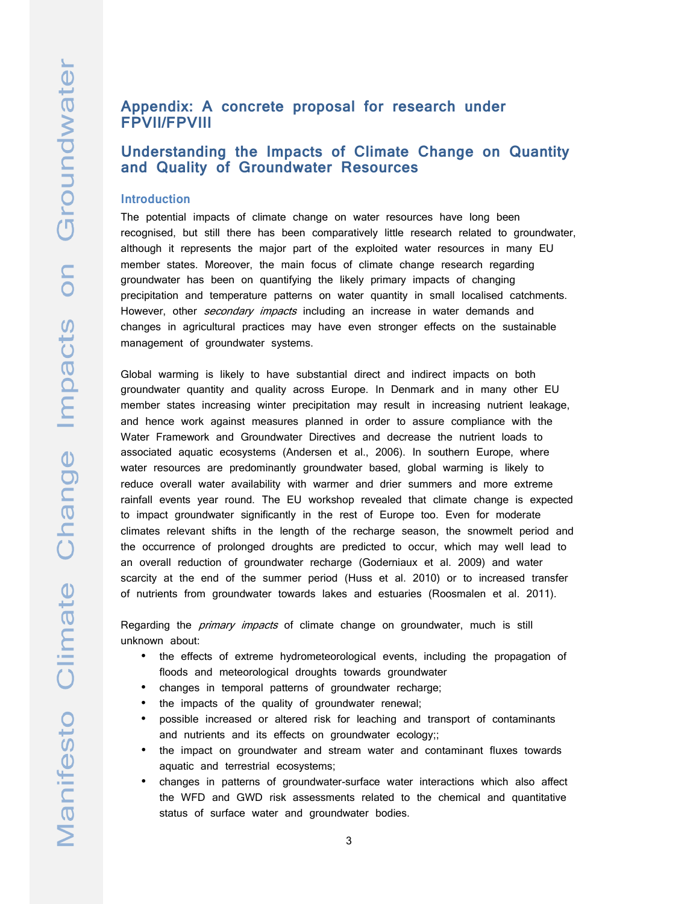# **Appendix: A concrete proposal for research under FPVII/FPVIII**

# **Understanding the Impacts of Climate Change on Quantity and Quality of Groundwater Resources**

#### **Introduction**

The potential impacts of climate change on water resources have long been recognised, but still there has been comparatively little research related to groundwater, although it represents the major part of the exploited water resources in many EU member states. Moreover, the main focus of climate change research regarding groundwater has been on quantifying the likely primary impacts of changing precipitation and temperature patterns on water quantity in small localised catchments. However, other secondary impacts including an increase in water demands and changes in agricultural practices may have even stronger effects on the sustainable management of groundwater systems.

Global warming is likely to have substantial direct and indirect impacts on both groundwater quantity and quality across Europe. In Denmark and in many other EU member states increasing winter precipitation may result in increasing nutrient leakage, and hence work against measures planned in order to assure compliance with the Water Framework and Groundwater Directives and decrease the nutrient loads to associated aquatic ecosystems (Andersen et al., 2006). In southern Europe, where water resources are predominantly groundwater based, global warming is likely to reduce overall water availability with warmer and drier summers and more extreme rainfall events year round. The EU workshop revealed that climate change is expected to impact groundwater significantly in the rest of Europe too. Even for moderate climates relevant shifts in the length of the recharge season, the snowmelt period and the occurrence of prolonged droughts are predicted to occur, which may well lead to an overall reduction of groundwater recharge (Goderniaux et al. 2009) and water scarcity at the end of the summer period (Huss et al. 2010) or to increased transfer of nutrients from groundwater towards lakes and estuaries (Roosmalen et al. 2011).

Regarding the *primary impacts* of climate change on groundwater, much is still unknown about:

- the effects of extreme hydrometeorological events, including the propagation of floods and meteorological droughts towards groundwater
- changes in temporal patterns of groundwater recharge;
- the impacts of the quality of groundwater renewal;
- possible increased or altered risk for leaching and transport of contaminants and nutrients and its effects on groundwater ecology;;
- the impact on groundwater and stream water and contaminant fluxes towards aquatic and terrestrial ecosystems;
- changes in patterns of groundwater-surface water interactions which also affect the WFD and GWD risk assessments related to the chemical and quantitative status of surface water and groundwater bodies.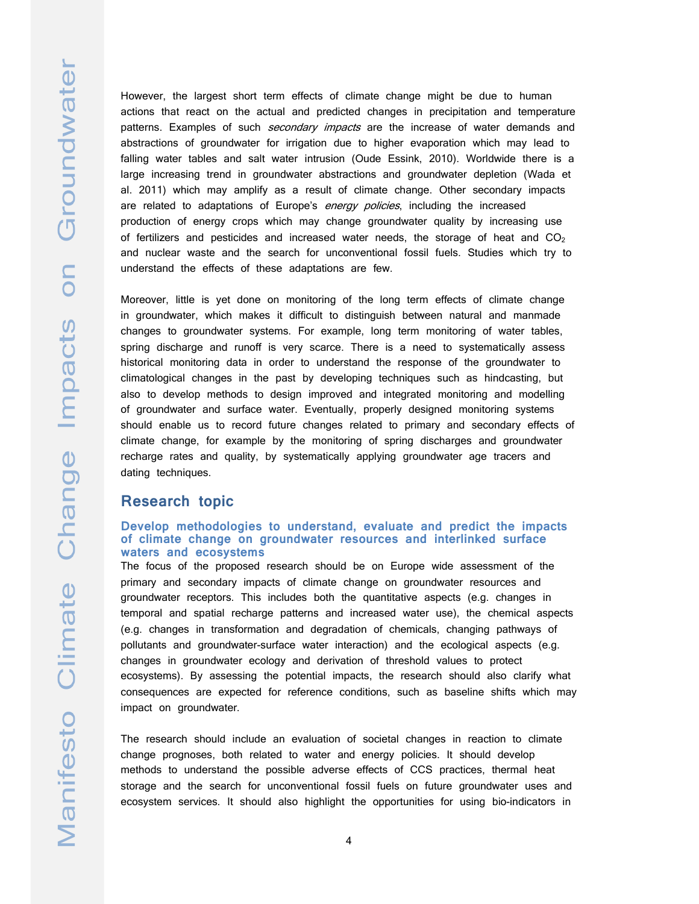However, the largest short term effects of climate change might be due to human actions that react on the actual and predicted changes in precipitation and temperature patterns. Examples of such *secondary impacts* are the increase of water demands and abstractions of groundwater for irrigation due to higher evaporation which may lead to falling water tables and salt water intrusion (Oude Essink, 2010). Worldwide there is a large increasing trend in groundwater abstractions and groundwater depletion (Wada et al. 2011) which may amplify as a result of climate change. Other secondary impacts are related to adaptations of Europe's energy policies, including the increased production of energy crops which may change groundwater quality by increasing use of fertilizers and pesticides and increased water needs, the storage of heat and  $CO<sub>2</sub>$ and nuclear waste and the search for unconventional fossil fuels. Studies which try to understand the effects of these adaptations are few.

Moreover, little is yet done on monitoring of the long term effects of climate change in groundwater, which makes it difficult to distinguish between natural and manmade changes to groundwater systems. For example, long term monitoring of water tables, spring discharge and runoff is very scarce. There is a need to systematically assess historical monitoring data in order to understand the response of the groundwater to climatological changes in the past by developing techniques such as hindcasting, but also to develop methods to design improved and integrated monitoring and modelling of groundwater and surface water. Eventually, properly designed monitoring systems should enable us to record future changes related to primary and secondary effects of climate change, for example by the monitoring of spring discharges and groundwater recharge rates and quality, by systematically applying groundwater age tracers and dating techniques.

### **Research topic**

#### **Develop methodologies to understand, evaluate and predict the impacts of climate change on groundwater resources and interlinked surface waters and ecosystems**

The focus of the proposed research should be on Europe wide assessment of the primary and secondary impacts of climate change on groundwater resources and groundwater receptors. This includes both the quantitative aspects (e.g. changes in temporal and spatial recharge patterns and increased water use), the chemical aspects (e.g. changes in transformation and degradation of chemicals, changing pathways of pollutants and groundwater-surface water interaction) and the ecological aspects (e.g. changes in groundwater ecology and derivation of threshold values to protect ecosystems). By assessing the potential impacts, the research should also clarify what consequences are expected for reference conditions, such as baseline shifts which may impact on groundwater.

The research should include an evaluation of societal changes in reaction to climate change prognoses, both related to water and energy policies. It should develop methods to understand the possible adverse effects of CCS practices, thermal heat storage and the search for unconventional fossil fuels on future groundwater uses and ecosystem services. It should also highlight the opportunities for using bio-indicators in